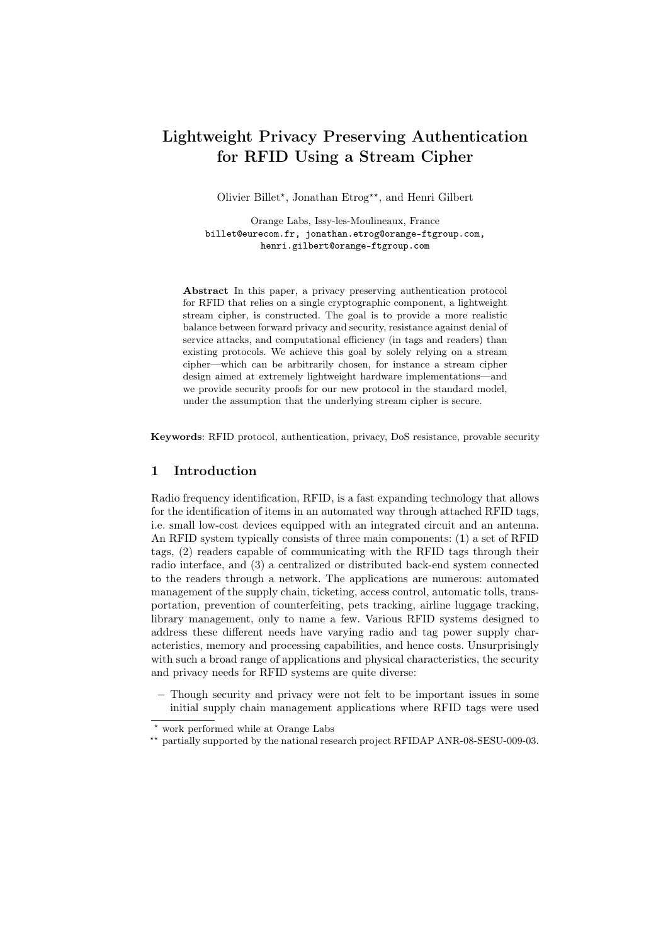# Lightweight Privacy Preserving Authentication for RFID Using a Stream Cipher

Olivier Billet\*, Jonathan Etrog\*\*, and Henri Gilbert

Orange Labs, Issy-les-Moulineaux, France billet@eurecom.fr, jonathan.etrog@orange-ftgroup.com, henri.gilbert@orange-ftgroup.com

Abstract In this paper, a privacy preserving authentication protocol for RFID that relies on a single cryptographic component, a lightweight stream cipher, is constructed. The goal is to provide a more realistic balance between forward privacy and security, resistance against denial of service attacks, and computational efficiency (in tags and readers) than existing protocols. We achieve this goal by solely relying on a stream cipher—which can be arbitrarily chosen, for instance a stream cipher design aimed at extremely lightweight hardware implementations—and we provide security proofs for our new protocol in the standard model, under the assumption that the underlying stream cipher is secure.

Keywords: RFID protocol, authentication, privacy, DoS resistance, provable security

# 1 Introduction

Radio frequency identification, RFID, is a fast expanding technology that allows for the identification of items in an automated way through attached RFID tags, i.e. small low-cost devices equipped with an integrated circuit and an antenna. An RFID system typically consists of three main components: (1) a set of RFID tags, (2) readers capable of communicating with the RFID tags through their radio interface, and (3) a centralized or distributed back-end system connected to the readers through a network. The applications are numerous: automated management of the supply chain, ticketing, access control, automatic tolls, transportation, prevention of counterfeiting, pets tracking, airline luggage tracking, library management, only to name a few. Various RFID systems designed to address these different needs have varying radio and tag power supply characteristics, memory and processing capabilities, and hence costs. Unsurprisingly with such a broad range of applications and physical characteristics, the security and privacy needs for RFID systems are quite diverse:

– Though security and privacy were not felt to be important issues in some initial supply chain management applications where RFID tags were used

<sup>?</sup> work performed while at Orange Labs

<sup>\*\*</sup> partially supported by the national research project RFIDAP ANR-08-SESU-009-03.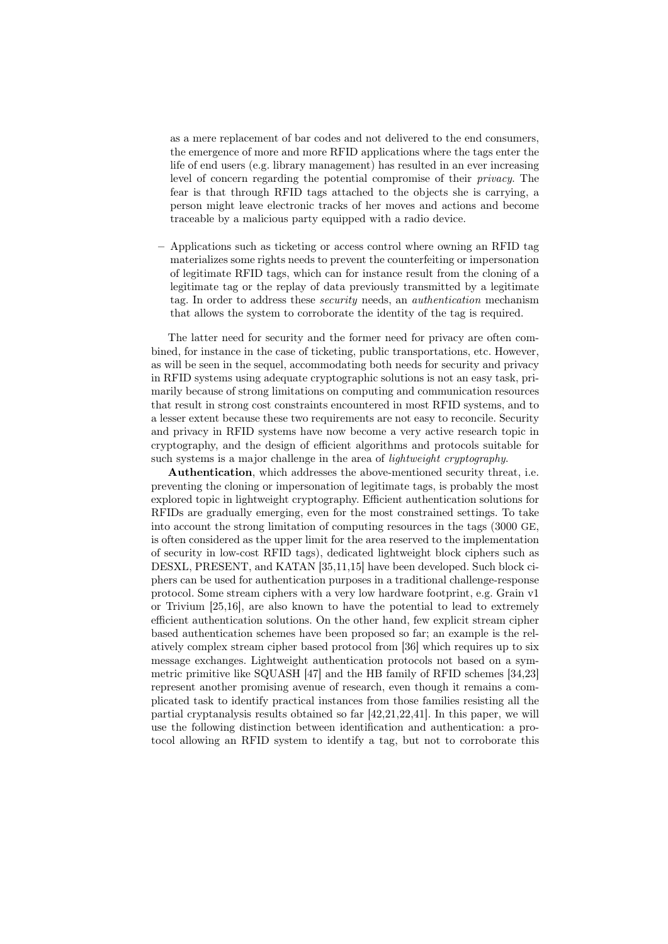as a mere replacement of bar codes and not delivered to the end consumers, the emergence of more and more RFID applications where the tags enter the life of end users (e.g. library management) has resulted in an ever increasing level of concern regarding the potential compromise of their privacy. The fear is that through RFID tags attached to the objects she is carrying, a person might leave electronic tracks of her moves and actions and become traceable by a malicious party equipped with a radio device.

– Applications such as ticketing or access control where owning an RFID tag materializes some rights needs to prevent the counterfeiting or impersonation of legitimate RFID tags, which can for instance result from the cloning of a legitimate tag or the replay of data previously transmitted by a legitimate tag. In order to address these security needs, an authentication mechanism that allows the system to corroborate the identity of the tag is required.

The latter need for security and the former need for privacy are often combined, for instance in the case of ticketing, public transportations, etc. However, as will be seen in the sequel, accommodating both needs for security and privacy in RFID systems using adequate cryptographic solutions is not an easy task, primarily because of strong limitations on computing and communication resources that result in strong cost constraints encountered in most RFID systems, and to a lesser extent because these two requirements are not easy to reconcile. Security and privacy in RFID systems have now become a very active research topic in cryptography, and the design of efficient algorithms and protocols suitable for such systems is a major challenge in the area of *lightweight cryptography*.

Authentication, which addresses the above-mentioned security threat, i.e. preventing the cloning or impersonation of legitimate tags, is probably the most explored topic in lightweight cryptography. Efficient authentication solutions for RFIDs are gradually emerging, even for the most constrained settings. To take into account the strong limitation of computing resources in the tags (3000 GE, is often considered as the upper limit for the area reserved to the implementation of security in low-cost RFID tags), dedicated lightweight block ciphers such as DESXL, PRESENT, and KATAN [35,11,15] have been developed. Such block ciphers can be used for authentication purposes in a traditional challenge-response protocol. Some stream ciphers with a very low hardware footprint, e.g. Grain v1 or Trivium [25,16], are also known to have the potential to lead to extremely efficient authentication solutions. On the other hand, few explicit stream cipher based authentication schemes have been proposed so far; an example is the relatively complex stream cipher based protocol from [36] which requires up to six message exchanges. Lightweight authentication protocols not based on a symmetric primitive like SQUASH [47] and the HB family of RFID schemes [34,23] represent another promising avenue of research, even though it remains a complicated task to identify practical instances from those families resisting all the partial cryptanalysis results obtained so far [42,21,22,41]. In this paper, we will use the following distinction between identification and authentication: a protocol allowing an RFID system to identify a tag, but not to corroborate this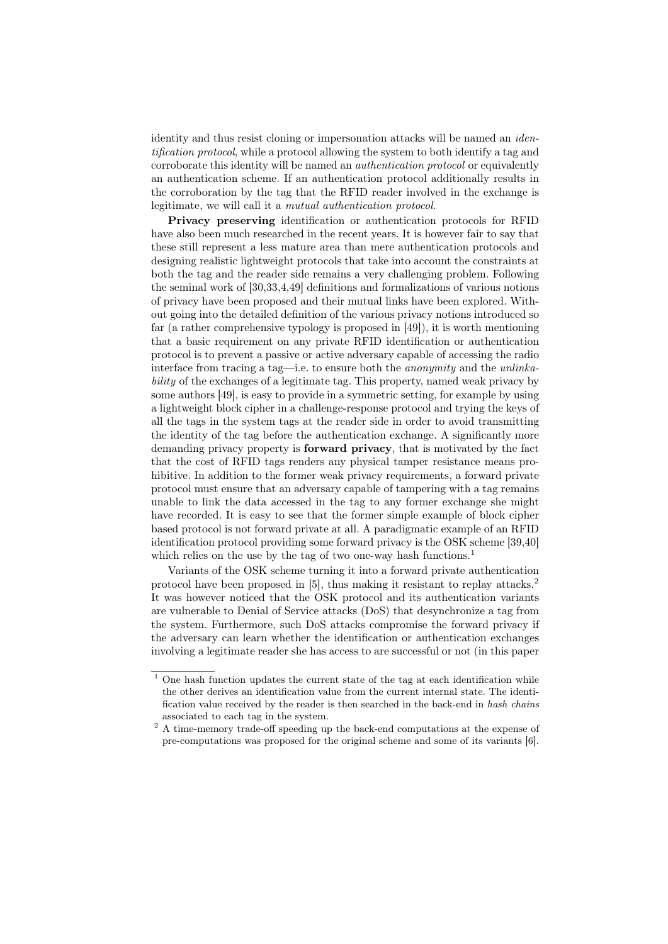identity and thus resist cloning or impersonation attacks will be named an *iden*tification protocol, while a protocol allowing the system to both identify a tag and corroborate this identity will be named an authentication protocol or equivalently an authentication scheme. If an authentication protocol additionally results in the corroboration by the tag that the RFID reader involved in the exchange is legitimate, we will call it a mutual authentication protocol.

Privacy preserving identification or authentication protocols for RFID have also been much researched in the recent years. It is however fair to say that these still represent a less mature area than mere authentication protocols and designing realistic lightweight protocols that take into account the constraints at both the tag and the reader side remains a very challenging problem. Following the seminal work of [30,33,4,49] definitions and formalizations of various notions of privacy have been proposed and their mutual links have been explored. Without going into the detailed definition of the various privacy notions introduced so far (a rather comprehensive typology is proposed in [49]), it is worth mentioning that a basic requirement on any private RFID identification or authentication protocol is to prevent a passive or active adversary capable of accessing the radio interface from tracing a tag—i.e. to ensure both the anonymity and the unlinkability of the exchanges of a legitimate tag. This property, named weak privacy by some authors [49], is easy to provide in a symmetric setting, for example by using a lightweight block cipher in a challenge-response protocol and trying the keys of all the tags in the system tags at the reader side in order to avoid transmitting the identity of the tag before the authentication exchange. A significantly more demanding privacy property is **forward privacy**, that is motivated by the fact that the cost of RFID tags renders any physical tamper resistance means prohibitive. In addition to the former weak privacy requirements, a forward private protocol must ensure that an adversary capable of tampering with a tag remains unable to link the data accessed in the tag to any former exchange she might have recorded. It is easy to see that the former simple example of block cipher based protocol is not forward private at all. A paradigmatic example of an RFID identification protocol providing some forward privacy is the OSK scheme [39,40] which relies on the use by the tag of two one-way hash functions.<sup>1</sup>

Variants of the OSK scheme turning it into a forward private authentication protocol have been proposed in [5], thus making it resistant to replay attacks.<sup>2</sup> It was however noticed that the OSK protocol and its authentication variants are vulnerable to Denial of Service attacks (DoS) that desynchronize a tag from the system. Furthermore, such DoS attacks compromise the forward privacy if the adversary can learn whether the identification or authentication exchanges involving a legitimate reader she has access to are successful or not (in this paper

 $1$  One hash function updates the current state of the tag at each identification while the other derives an identification value from the current internal state. The identification value received by the reader is then searched in the back-end in hash chains associated to each tag in the system.

<sup>2</sup> A time-memory trade-off speeding up the back-end computations at the expense of pre-computations was proposed for the original scheme and some of its variants [6].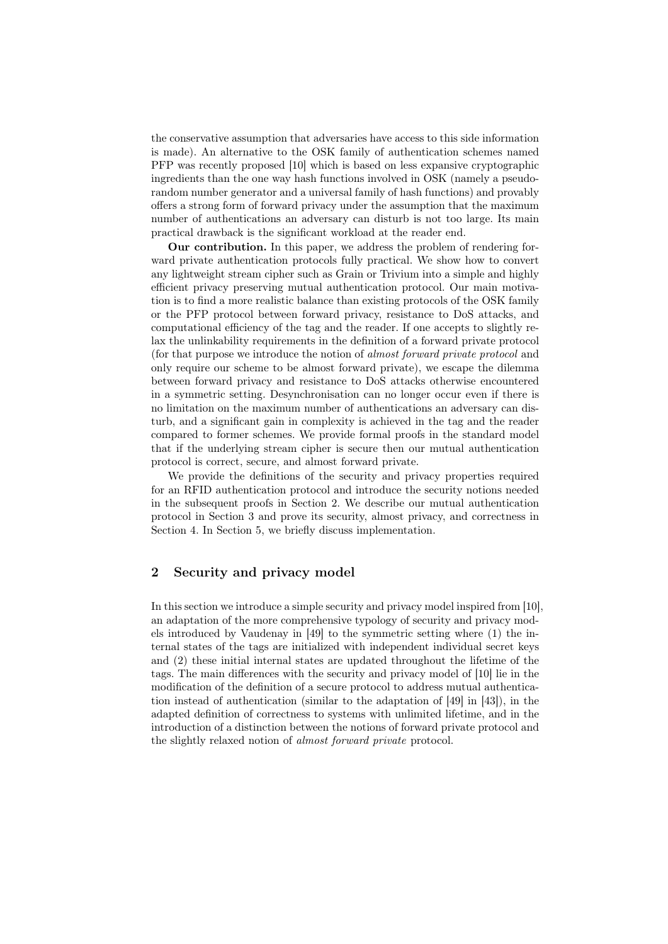the conservative assumption that adversaries have access to this side information is made). An alternative to the OSK family of authentication schemes named PFP was recently proposed [10] which is based on less expansive cryptographic ingredients than the one way hash functions involved in OSK (namely a pseudorandom number generator and a universal family of hash functions) and provably offers a strong form of forward privacy under the assumption that the maximum number of authentications an adversary can disturb is not too large. Its main practical drawback is the significant workload at the reader end.

Our contribution. In this paper, we address the problem of rendering forward private authentication protocols fully practical. We show how to convert any lightweight stream cipher such as Grain or Trivium into a simple and highly efficient privacy preserving mutual authentication protocol. Our main motivation is to find a more realistic balance than existing protocols of the OSK family or the PFP protocol between forward privacy, resistance to DoS attacks, and computational efficiency of the tag and the reader. If one accepts to slightly relax the unlinkability requirements in the definition of a forward private protocol (for that purpose we introduce the notion of almost forward private protocol and only require our scheme to be almost forward private), we escape the dilemma between forward privacy and resistance to DoS attacks otherwise encountered in a symmetric setting. Desynchronisation can no longer occur even if there is no limitation on the maximum number of authentications an adversary can disturb, and a significant gain in complexity is achieved in the tag and the reader compared to former schemes. We provide formal proofs in the standard model that if the underlying stream cipher is secure then our mutual authentication protocol is correct, secure, and almost forward private.

We provide the definitions of the security and privacy properties required for an RFID authentication protocol and introduce the security notions needed in the subsequent proofs in Section 2. We describe our mutual authentication protocol in Section 3 and prove its security, almost privacy, and correctness in Section 4. In Section 5, we briefly discuss implementation.

# 2 Security and privacy model

In this section we introduce a simple security and privacy model inspired from [10], an adaptation of the more comprehensive typology of security and privacy models introduced by Vaudenay in [49] to the symmetric setting where (1) the internal states of the tags are initialized with independent individual secret keys and (2) these initial internal states are updated throughout the lifetime of the tags. The main differences with the security and privacy model of [10] lie in the modification of the definition of a secure protocol to address mutual authentication instead of authentication (similar to the adaptation of [49] in [43]), in the adapted definition of correctness to systems with unlimited lifetime, and in the introduction of a distinction between the notions of forward private protocol and the slightly relaxed notion of almost forward private protocol.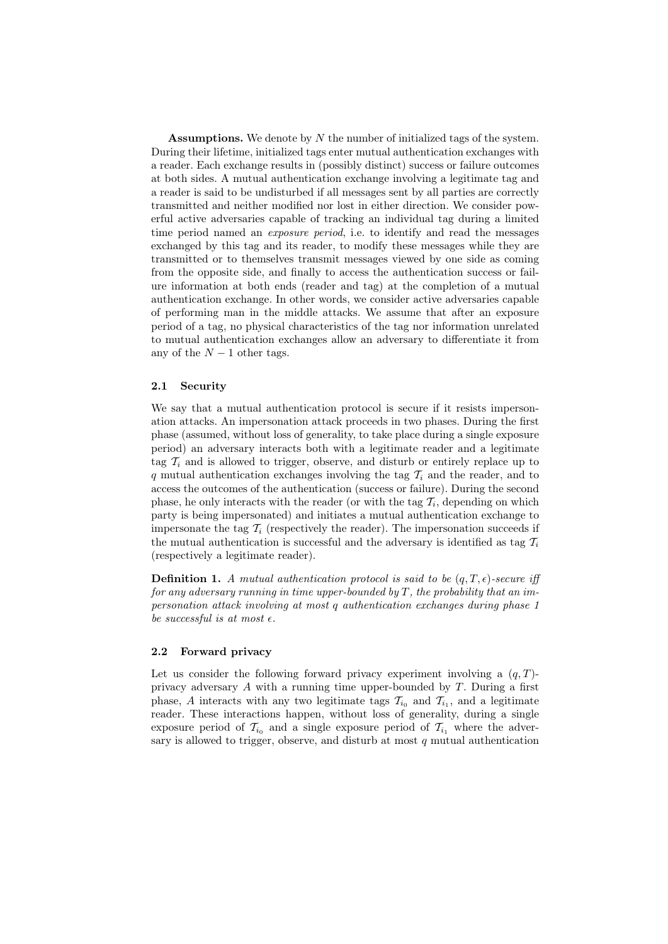**Assumptions.** We denote by  $N$  the number of initialized tags of the system. During their lifetime, initialized tags enter mutual authentication exchanges with a reader. Each exchange results in (possibly distinct) success or failure outcomes at both sides. A mutual authentication exchange involving a legitimate tag and a reader is said to be undisturbed if all messages sent by all parties are correctly transmitted and neither modified nor lost in either direction. We consider powerful active adversaries capable of tracking an individual tag during a limited time period named an *exposure period*, i.e. to identify and read the messages exchanged by this tag and its reader, to modify these messages while they are transmitted or to themselves transmit messages viewed by one side as coming from the opposite side, and finally to access the authentication success or failure information at both ends (reader and tag) at the completion of a mutual authentication exchange. In other words, we consider active adversaries capable of performing man in the middle attacks. We assume that after an exposure period of a tag, no physical characteristics of the tag nor information unrelated to mutual authentication exchanges allow an adversary to differentiate it from any of the  $N-1$  other tags.

#### 2.1 Security

We say that a mutual authentication protocol is secure if it resists impersonation attacks. An impersonation attack proceeds in two phases. During the first phase (assumed, without loss of generality, to take place during a single exposure period) an adversary interacts both with a legitimate reader and a legitimate tag  $T<sub>i</sub>$  and is allowed to trigger, observe, and disturb or entirely replace up to q mutual authentication exchanges involving the tag  $\mathcal{T}_i$  and the reader, and to access the outcomes of the authentication (success or failure). During the second phase, he only interacts with the reader (or with the tag  $\mathcal{T}_i$ , depending on which party is being impersonated) and initiates a mutual authentication exchange to impersonate the tag  $\mathcal{T}_i$  (respectively the reader). The impersonation succeeds if the mutual authentication is successful and the adversary is identified as tag  $\mathcal{T}_i$ (respectively a legitimate reader).

**Definition 1.** A mutual authentication protocol is said to be  $(q, T, \epsilon)$ -secure iff for any adversary running in time upper-bounded by  $T$ , the probability that an impersonation attack involving at most q authentication exchanges during phase 1 be successful is at most  $\epsilon$ .

#### 2.2 Forward privacy

Let us consider the following forward privacy experiment involving a  $(q, T)$ privacy adversary  $A$  with a running time upper-bounded by  $T$ . During a first phase, A interacts with any two legitimate tags  $\mathcal{T}_{i_0}$  and  $\mathcal{T}_{i_1}$ , and a legitimate reader. These interactions happen, without loss of generality, during a single exposure period of  $\mathcal{T}_{i_0}$  and a single exposure period of  $\mathcal{T}_{i_1}$  where the adversary is allowed to trigger, observe, and disturb at most  $q$  mutual authentication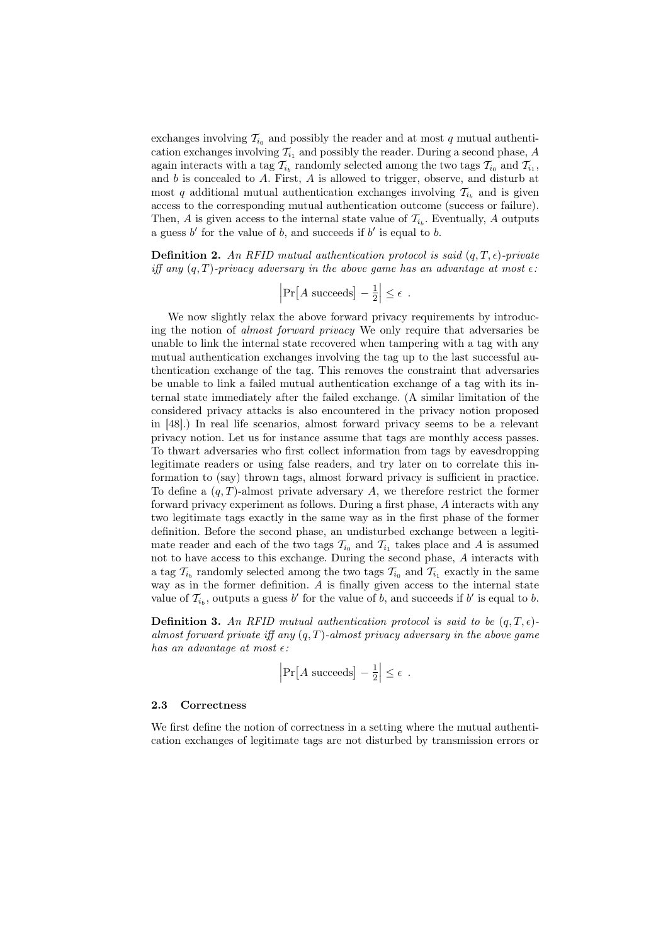exchanges involving  $\mathcal{T}_{i_0}$  and possibly the reader and at most q mutual authentication exchanges involving  $\mathcal{T}_{i_1}$  and possibly the reader. During a second phase, A again interacts with a tag  $\mathcal{T}_{i_b}$  randomly selected among the two tags  $\mathcal{T}_{i_0}$  and  $\mathcal{T}_{i_1}$ , and b is concealed to A. First, A is allowed to trigger, observe, and disturb at most q additional mutual authentication exchanges involving  $\mathcal{T}_{i_b}$  and is given access to the corresponding mutual authentication outcome (success or failure). Then, A is given access to the internal state value of  $\mathcal{T}_{i_b}$ . Eventually, A outputs a guess  $b'$  for the value of  $b$ , and succeeds if  $b'$  is equal to  $b$ .

**Definition 2.** An RFID mutual authentication protocol is said  $(q, T, \epsilon)$ -private iff any  $(q, T)$ -privacy adversary in the above game has an advantage at most  $\epsilon$ :

$$
\left|\Pr\left[A \text{ succeeds}\right] - \frac{1}{2}\right| \leq \epsilon.
$$

We now slightly relax the above forward privacy requirements by introducing the notion of *almost forward privacy* We only require that adversaries be unable to link the internal state recovered when tampering with a tag with any mutual authentication exchanges involving the tag up to the last successful authentication exchange of the tag. This removes the constraint that adversaries be unable to link a failed mutual authentication exchange of a tag with its internal state immediately after the failed exchange. (A similar limitation of the considered privacy attacks is also encountered in the privacy notion proposed in [48].) In real life scenarios, almost forward privacy seems to be a relevant privacy notion. Let us for instance assume that tags are monthly access passes. To thwart adversaries who first collect information from tags by eavesdropping legitimate readers or using false readers, and try later on to correlate this information to (say) thrown tags, almost forward privacy is sufficient in practice. To define a  $(q, T)$ -almost private adversary A, we therefore restrict the former forward privacy experiment as follows. During a first phase, A interacts with any two legitimate tags exactly in the same way as in the first phase of the former definition. Before the second phase, an undisturbed exchange between a legitimate reader and each of the two tags  $\mathcal{T}_{i_0}$  and  $\mathcal{T}_{i_1}$  takes place and A is assumed not to have access to this exchange. During the second phase, A interacts with a tag  $\mathcal{T}_{i_b}$  randomly selected among the two tags  $\mathcal{T}_{i_0}$  and  $\mathcal{T}_{i_1}$  exactly in the same way as in the former definition. A is finally given access to the internal state value of  $\mathcal{T}_{i_b}$ , outputs a guess b' for the value of b, and succeeds if b' is equal to b.

**Definition 3.** An RFID mutual authentication protocol is said to be  $(q, T, \epsilon)$ almost forward private iff any  $(q, T)$ -almost privacy adversary in the above game has an advantage at most  $\epsilon$ :

$$
\left|\Pr[A \text{ succeeds}] - \frac{1}{2}\right| \leq \epsilon.
$$

#### 2.3 Correctness

We first define the notion of correctness in a setting where the mutual authentication exchanges of legitimate tags are not disturbed by transmission errors or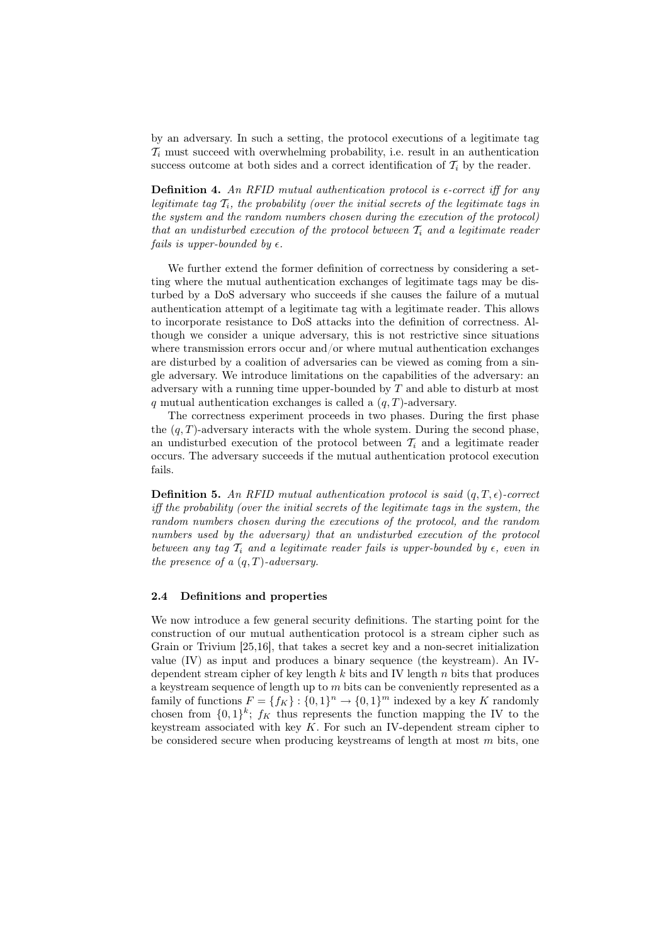by an adversary. In such a setting, the protocol executions of a legitimate tag  $\mathcal{T}_i$  must succeed with overwhelming probability, i.e. result in an authentication success outcome at both sides and a correct identification of  $\mathcal{T}_i$  by the reader.

**Definition 4.** An RFID mutual authentication protocol is  $\epsilon$ -correct iff for any legitimate tag  $T_i$ , the probability (over the initial secrets of the legitimate tags in the system and the random numbers chosen during the execution of the protocol) that an undisturbed execution of the protocol between  $\mathcal{T}_i$  and a legitimate reader fails is upper-bounded by  $\epsilon$ .

We further extend the former definition of correctness by considering a setting where the mutual authentication exchanges of legitimate tags may be disturbed by a DoS adversary who succeeds if she causes the failure of a mutual authentication attempt of a legitimate tag with a legitimate reader. This allows to incorporate resistance to DoS attacks into the definition of correctness. Although we consider a unique adversary, this is not restrictive since situations where transmission errors occur and/or where mutual authentication exchanges are disturbed by a coalition of adversaries can be viewed as coming from a single adversary. We introduce limitations on the capabilities of the adversary: an adversary with a running time upper-bounded by  $T$  and able to disturb at most q mutual authentication exchanges is called a  $(q, T)$ -adversary.

The correctness experiment proceeds in two phases. During the first phase the  $(q, T)$ -adversary interacts with the whole system. During the second phase, an undisturbed execution of the protocol between  $\mathcal{T}_i$  and a legitimate reader occurs. The adversary succeeds if the mutual authentication protocol execution fails.

**Definition 5.** An RFID mutual authentication protocol is said  $(q, T, \epsilon)$ -correct iff the probability (over the initial secrets of the legitimate tags in the system, the random numbers chosen during the executions of the protocol, and the random numbers used by the adversary) that an undisturbed execution of the protocol between any tag  $T_i$  and a legitimate reader fails is upper-bounded by  $\epsilon$ , even in the presence of a  $(q, T)$ -adversary.

## 2.4 Definitions and properties

We now introduce a few general security definitions. The starting point for the construction of our mutual authentication protocol is a stream cipher such as Grain or Trivium [25,16], that takes a secret key and a non-secret initialization value (IV) as input and produces a binary sequence (the keystream). An IVdependent stream cipher of key length  $k$  bits and IV length  $n$  bits that produces a keystream sequence of length up to  $m$  bits can be conveniently represented as a family of functions  $F = \{f_K\} : \{0,1\}^m \to \{0,1\}^m$  indexed by a key K randomly chosen from  $\{0,1\}^k$ ;  $f_K$  thus represents the function mapping the IV to the keystream associated with key  $K$ . For such an IV-dependent stream cipher to be considered secure when producing keystreams of length at most  $m$  bits, one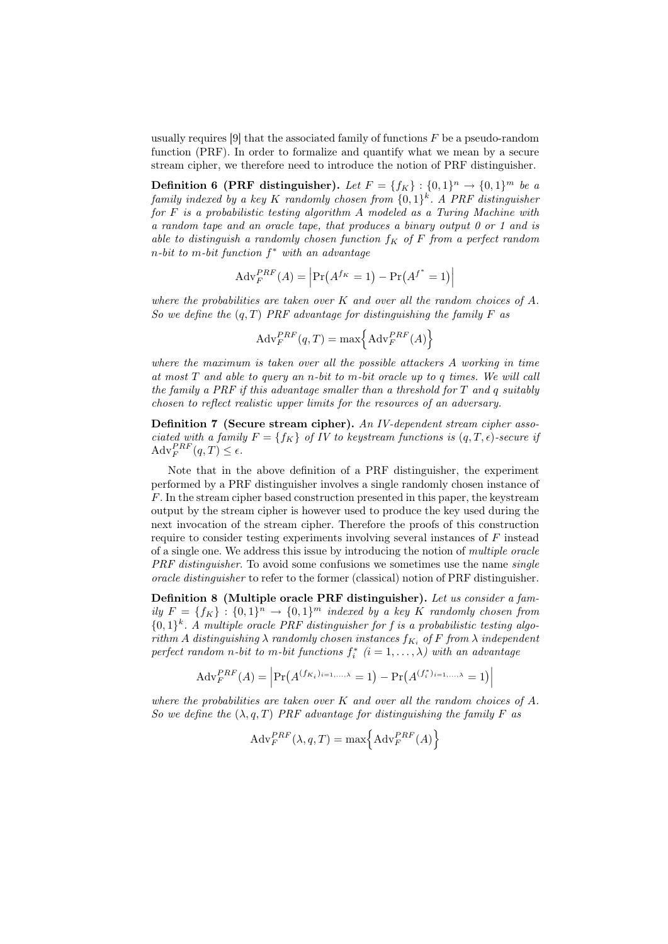usually requires [9] that the associated family of functions  $F$  be a pseudo-random function (PRF). In order to formalize and quantify what we mean by a secure stream cipher, we therefore need to introduce the notion of PRF distinguisher.

**Definition 6 (PRF distinguisher).** Let  $F = \{f_K\} : \{0, 1\}^n \rightarrow \{0, 1\}^m$  be a family indexed by a key K randomly chosen from  $\{0,1\}^k$ . A PRF distinguisher for F is a probabilistic testing algorithm A modeled as a Turing Machine with a random tape and an oracle tape, that produces a binary output 0 or 1 and is able to distinguish a randomly chosen function  $f_K$  of F from a perfect random  $n$ -bit to m-bit function  $f^*$  with an advantage

$$
Adv_F^{PRF}(A) = \left| Pr(A^{f_K} = 1) - Pr(A^{f^*} = 1) \right|
$$

where the probabilities are taken over  $K$  and over all the random choices of  $A$ . So we define the  $(q, T)$  PRF advantage for distinguishing the family F as

$$
\mathrm{Adv}_{F}^{PRF}(q,T)=\max \Bigl\{\mathrm{Adv}_{F}^{PRF}(A)\Bigr\}
$$

where the maximum is taken over all the possible attackers A working in time at most  $T$  and able to query an n-bit to m-bit oracle up to q times. We will call the family a PRF if this advantage smaller than a threshold for  $T$  and a suitably chosen to reflect realistic upper limits for the resources of an adversary.

Definition 7 (Secure stream cipher). An IV-dependent stream cipher associated with a family  $F = \{f_K\}$  of IV to keystream functions is  $(q, T, \epsilon)$ -secure if  $\mathrm{Adv}_{F}^{PRF}(q,T) \leq \epsilon.$ 

Note that in the above definition of a PRF distinguisher, the experiment performed by a PRF distinguisher involves a single randomly chosen instance of F. In the stream cipher based construction presented in this paper, the keystream output by the stream cipher is however used to produce the key used during the next invocation of the stream cipher. Therefore the proofs of this construction require to consider testing experiments involving several instances of  $F$  instead of a single one. We address this issue by introducing the notion of multiple oracle PRF distinguisher. To avoid some confusions we sometimes use the name *single* oracle distinguisher to refer to the former (classical) notion of PRF distinguisher.

Definition 8 (Multiple oracle PRF distinguisher). Let us consider a family  $F = \{f_K\} : \{0,1\}^n \rightarrow \{0,1\}^m$  indexed by a key K randomly chosen from  $\{0,1\}^k$ . A multiple oracle PRF distinguisher for f is a probabilistic testing algorithm A distinguishing  $\lambda$  randomly chosen instances  $f_{K_i}$  of F from  $\lambda$  independent perfect random n-bit to m-bit functions  $f_i^*$   $(i = 1, ..., \lambda)$  with an advantage

$$
Adv_{F}^{PRF}(A) = \left| Pr(A^{(f_{K_i})_{i=1,...,\lambda}} = 1) - Pr(A^{(f_i^*)_{i=1,...,\lambda}} = 1) \right|
$$

where the probabilities are taken over K and over all the random choices of A. So we define the  $(\lambda, q, T)$  PRF advantage for distinguishing the family F as

$$
Adv_F^{PRF}(\lambda, q, T) = \max \left\{ Adv_F^{PRF}(A) \right\}
$$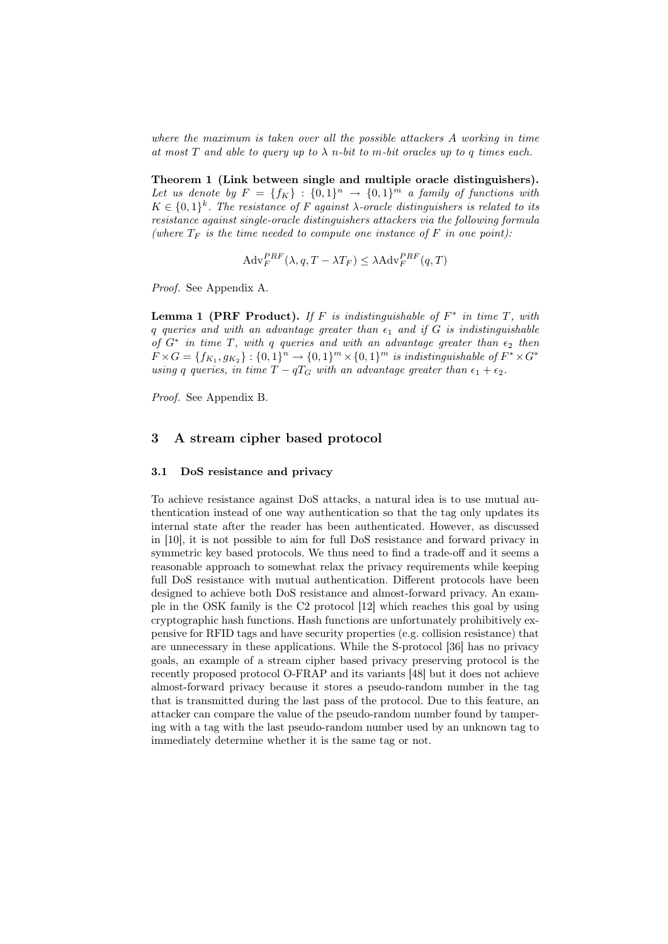where the maximum is taken over all the possible attackers A working in time at most T and able to query up to  $\lambda$  n-bit to m-bit oracles up to q times each.

Theorem 1 (Link between single and multiple oracle distinguishers). Let us denote by  $F = \{f_K\} : \{0,1\}^n \rightarrow \{0,1\}^m$  a family of functions with  $K \in \{0,1\}^k$ . The resistance of F against  $\lambda$ -oracle distinguishers is related to its resistance against single-oracle distinguishers attackers via the following formula (where  $T_F$  is the time needed to compute one instance of F in one point):

$$
\mathrm{Adv}_{F}^{PRF}(\lambda, q, T - \lambda T_F) \le \lambda \mathrm{Adv}_{F}^{PRF}(q, T)
$$

Proof. See Appendix A.

**Lemma 1 (PRF Product).** If F is indistinguishable of  $F^*$  in time T, with q queries and with an advantage greater than  $\epsilon_1$  and if G is indistinguishable of  $G^*$  in time T, with q queries and with an advantage greater than  $\epsilon_2$  then  $F \times G = \{f_{K_1}, g_{K_2}\} : \{0,1\}^n \rightarrow \{0,1\}^m \times \{0,1\}^m$  is indistinguishable of  $F^* \times G^*$ using q queries, in time  $T - qT_G$  with an advantage greater than  $\epsilon_1 + \epsilon_2$ .

Proof. See Appendix B.

# 3 A stream cipher based protocol

#### 3.1 DoS resistance and privacy

To achieve resistance against DoS attacks, a natural idea is to use mutual authentication instead of one way authentication so that the tag only updates its internal state after the reader has been authenticated. However, as discussed in [10], it is not possible to aim for full DoS resistance and forward privacy in symmetric key based protocols. We thus need to find a trade-off and it seems a reasonable approach to somewhat relax the privacy requirements while keeping full DoS resistance with mutual authentication. Different protocols have been designed to achieve both DoS resistance and almost-forward privacy. An example in the OSK family is the C2 protocol [12] which reaches this goal by using cryptographic hash functions. Hash functions are unfortunately prohibitively expensive for RFID tags and have security properties (e.g. collision resistance) that are unnecessary in these applications. While the S-protocol [36] has no privacy goals, an example of a stream cipher based privacy preserving protocol is the recently proposed protocol O-FRAP and its variants [48] but it does not achieve almost-forward privacy because it stores a pseudo-random number in the tag that is transmitted during the last pass of the protocol. Due to this feature, an attacker can compare the value of the pseudo-random number found by tampering with a tag with the last pseudo-random number used by an unknown tag to immediately determine whether it is the same tag or not.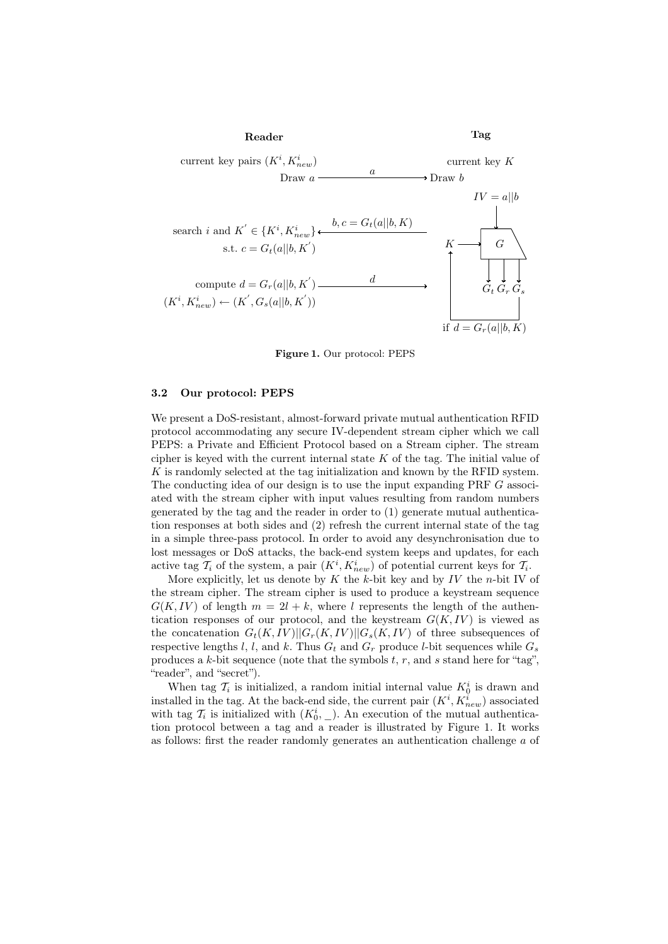

Figure 1. Our protocol: PEPS

#### 3.2 Our protocol: PEPS

We present a DoS-resistant, almost-forward private mutual authentication RFID protocol accommodating any secure IV-dependent stream cipher which we call PEPS: a Private and Efficient Protocol based on a Stream cipher. The stream cipher is keyed with the current internal state  $K$  of the tag. The initial value of K is randomly selected at the tag initialization and known by the RFID system. The conducting idea of our design is to use the input expanding PRF G associated with the stream cipher with input values resulting from random numbers generated by the tag and the reader in order to (1) generate mutual authentication responses at both sides and (2) refresh the current internal state of the tag in a simple three-pass protocol. In order to avoid any desynchronisation due to lost messages or DoS attacks, the back-end system keeps and updates, for each active tag  $\mathcal{T}_i$  of the system, a pair  $(K^i, K^i_{new})$  of potential current keys for  $\mathcal{T}_i$ .

More explicitly, let us denote by  $K$  the  $k$ -bit key and by  $IV$  the n-bit IV of the stream cipher. The stream cipher is used to produce a keystream sequence  $G(K, IV)$  of length  $m = 2l + k$ , where l represents the length of the authentication responses of our protocol, and the keystream  $G(K, IV)$  is viewed as the concatenation  $G_t(K, IV) \parallel G_r(K, IV) \parallel G_s(K, IV)$  of three subsequences of respective lengths l, l, and k. Thus  $G_t$  and  $G_r$  produce l-bit sequences while  $G_s$ produces a k-bit sequence (note that the symbols  $t, r$ , and  $s$  stand here for "tag", "reader", and "secret").

When tag  $\mathcal{T}_i$  is initialized, a random initial internal value  $K_0^i$  is drawn and installed in the tag. At the back-end side, the current pair  $(K^i, K^i_{new})$  associated with tag  $\mathcal{T}_i$  is initialized with  $(K_0^i, \_)$ . An execution of the mutual authentication protocol between a tag and a reader is illustrated by Figure 1. It works as follows: first the reader randomly generates an authentication challenge a of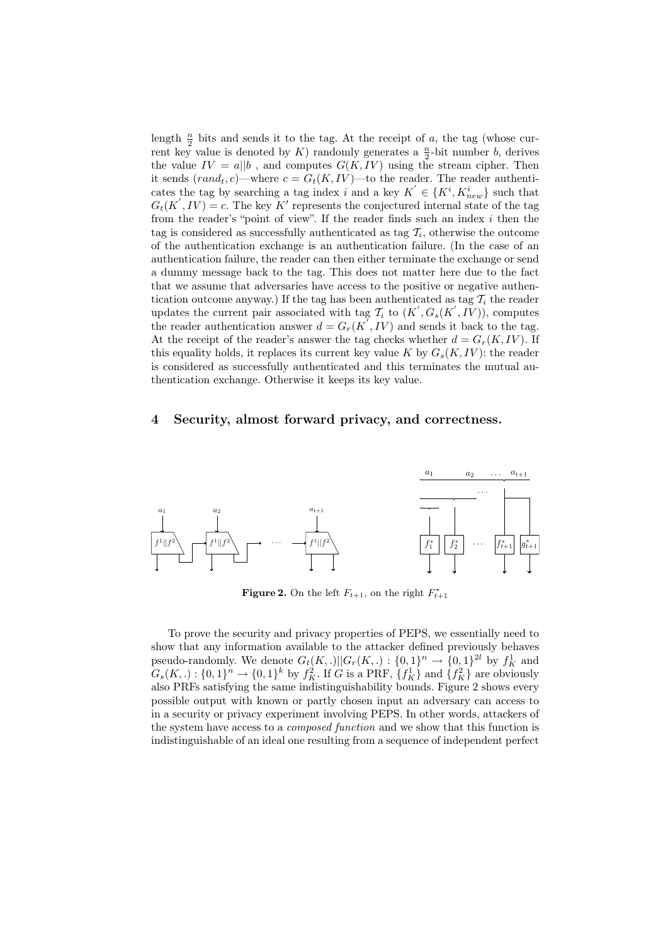length  $\frac{n}{2}$  bits and sends it to the tag. At the receipt of a, the tag (whose current key value is denoted by K) randomly generates a  $\frac{n}{2}$ -bit number b, derives the value  $IV = a||b$ , and computes  $G(K, IV)$  using the stream cipher. Then it sends  $(rand_t, c)$ —where  $c = G_t(K, IV)$ —to the reader. The reader authenticates the tag by searching a tag index i and a key  $K' \in \{K^i, K^i_{new}\}$  such that  $G_t(K', IV) = c$ . The key K' represents the conjectured internal state of the tag from the reader's "point of view". If the reader finds such an index  $i$  then the tag is considered as successfully authenticated as tag  $\mathcal{T}_i$ , otherwise the outcome of the authentication exchange is an authentication failure. (In the case of an authentication failure, the reader can then either terminate the exchange or send a dummy message back to the tag. This does not matter here due to the fact that we assume that adversaries have access to the positive or negative authentication outcome anyway.) If the tag has been authenticated as tag  $\mathcal{T}_i$  the reader updates the current pair associated with tag  $\mathcal{T}_i$  to  $(K', G_s(K', IV))$ , computes the reader authentication answer  $d = G_r(K^{'}, IV)$  and sends it back to the tag. At the receipt of the reader's answer the tag checks whether  $d = G_r(K, IV)$ . If this equality holds, it replaces its current key value K by  $G_s(K, IV)$ ; the reader is considered as successfully authenticated and this terminates the mutual authentication exchange. Otherwise it keeps its key value.

# 4 Security, almost forward privacy, and correctness.



**Figure 2.** On the left  $F_{t+1}$ , on the right  $F_{t+1}^*$ 

To prove the security and privacy properties of PEPS, we essentially need to show that any information available to the attacker defined previously behaves pseudo-randomly. We denote  $G_t(K,.)||G_r(K,.) : \{0,1\}^n \to \{0,1\}^{2l}$  by  $f_K^1$  and  $G_s(K,.) : \{0,1\}^n \to \{0,1\}^k$  by  $f_K^2$ . If G is a PRF,  $\{f_K^1\}$  and  $\{f_K^2\}$  are obviously also PRFs satisfying the same indistinguishability bounds. Figure 2 shows every possible output with known or partly chosen input an adversary can access to in a security or privacy experiment involving PEPS. In other words, attackers of the system have access to a composed function and we show that this function is indistinguishable of an ideal one resulting from a sequence of independent perfect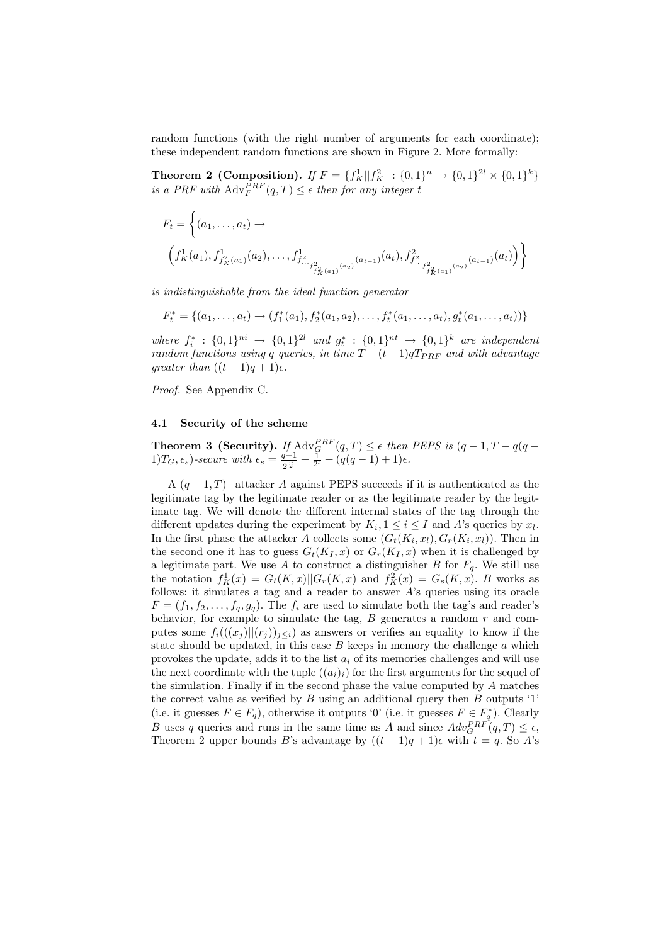random functions (with the right number of arguments for each coordinate); these independent random functions are shown in Figure 2. More formally:

**Theorem 2 (Composition).** If  $F = \{f_K^1 || f_K^2 : \{0,1\}^n \to \{0,1\}^{2l} \times \{0,1\}^k\}$ is a PRF with  $\text{Adv}_{F}^{PRF}(q,T) \leq \epsilon$  then for any integer t

$$
F_t = \left\{ (a_1, \ldots, a_t) \to \left( f_K^1(a_1), f_{f_K^2(a_1)}^1(a_2), \ldots, f_{f_{\ldots}^2(f_K^2(a_1)}^1(a_2))^{(a_{t-1})}(a_t), f_{f_{\ldots}^2(f_K^2(a_1)}^2(a_2))^{(a_{t-1})}(a_t) \right) \right\}
$$

is indistinguishable from the ideal function generator

 $F_t^* = \{(a_1, \ldots, a_t) \rightarrow (f_1^*(a_1), f_2^*(a_1, a_2), \ldots, f_t^*(a_1, \ldots, a_t), g_t^*(a_1, \ldots, a_t))\}$ 

where  $f_i^* : \{0,1\}^{ni} \to \{0,1\}^{2l}$  and  $g_i^* : \{0,1\}^{nt} \to \{0,1\}^k$  are independent random functions using q queries, in time  $T - (t - 1)qT_{PRF}$  and with advantage greater than  $((t-1)q+1)\epsilon$ .

Proof. See Appendix C.

## 4.1 Security of the scheme

**Theorem 3 (Security).** If  $\text{Adv}_{G}^{PRF}(q, T) \leq \epsilon$  then PEPS is  $(q-1, T-q(q-1))$  $1)T_G, \epsilon_s$ )-secure with  $\epsilon_s = \frac{q-1}{2\pi^2}$  $\frac{q-1}{2^{\frac{n}{2}}} + \frac{1}{2^l} + (q(q-1)+1)\epsilon.$ 

A  $(q-1, T)$ −attacker A against PEPS succeeds if it is authenticated as the legitimate tag by the legitimate reader or as the legitimate reader by the legitimate tag. We will denote the different internal states of the tag through the different updates during the experiment by  $K_i, 1 \leq i \leq I$  and A's queries by  $x_l$ . In the first phase the attacker A collects some  $(G_t(K_i, x_l), G_r(K_i, x_l))$ . Then in the second one it has to guess  $G_t(K_I, x)$  or  $G_r(K_I, x)$  when it is challenged by a legitimate part. We use A to construct a distinguisher B for  $F_q$ . We still use the notation  $f_K^1(x) = G_t(K,x) || G_r(K,x)$  and  $f_K^2(x) = G_s(K,x)$ . B works as follows: it simulates a tag and a reader to answer  $A$ 's queries using its oracle  $F = (f_1, f_2, \ldots, f_q, g_q)$ . The  $f_i$  are used to simulate both the tag's and reader's behavior, for example to simulate the tag,  $B$  generates a random  $r$  and computes some  $f_i(((x_i)||(r_i))_{i\leq i})$  as answers or verifies an equality to know if the state should be updated, in this case  $B$  keeps in memory the challenge  $a$  which provokes the update, adds it to the list  $a_i$  of its memories challenges and will use the next coordinate with the tuple  $((a_i)_i)$  for the first arguments for the sequel of the simulation. Finally if in the second phase the value computed by A matches the correct value as verified by  $B$  using an additional query then  $B$  outputs '1' (i.e. it guesses  $F \in F_q$ ), otherwise it outputs '0' (i.e. it guesses  $F \in F_q^*$ ). Clearly B uses q queries and runs in the same time as A and since  $Adv_G^{PRF}(q, T) \le \epsilon$ , Theorem 2 upper bounds B's advantage by  $((t-1)q+1)\epsilon$  with  $t = q$ . So A's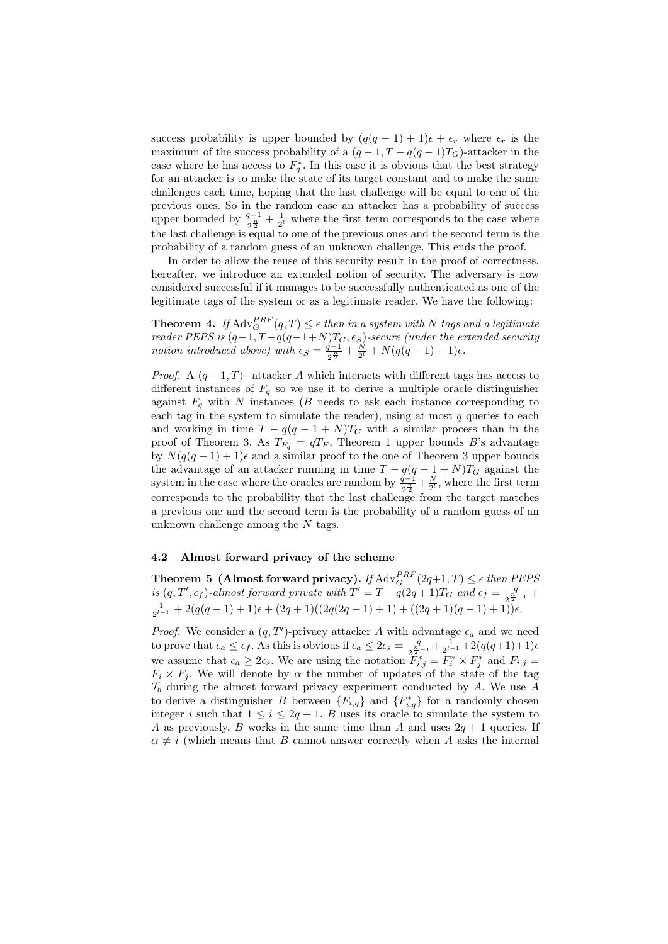success probability is upper bounded by  $(q(q-1) + 1)\epsilon + \epsilon_r$  where  $\epsilon_r$  is the maximum of the success probability of a  $(q-1, T-q(q-1)T<sub>G</sub>)$ -attacker in the case where he has access to  $F_q^*$ . In this case it is obvious that the best strategy for an attacker is to make the state of its target constant and to make the same challenges each time, hoping that the last challenge will be equal to one of the previous ones. So in the random case an attacker has a probability of success upper bounded by  $\frac{q-1}{2^{\frac{n}{2}}} + \frac{1}{2^l}$  where the first term corresponds to the case where the last challenge is equal to one of the previous ones and the second term is the probability of a random guess of an unknown challenge. This ends the proof.

In order to allow the reuse of this security result in the proof of correctness, hereafter, we introduce an extended notion of security. The adversary is now considered successful if it manages to be successfully authenticated as one of the legitimate tags of the system or as a legitimate reader. We have the following:

**Theorem 4.** If  $\text{Adv}_{G}^{PRF}(q, T) \leq \epsilon$  then in a system with N tags and a legitimate reader PEPS is  $(q-1, T-q(q-1+N)T_G, \epsilon_S)$ -secure (under the extended security notion introduced above) with  $\epsilon_S = \frac{q-1}{2^{\frac{n}{3}}}$  $\frac{q-1}{2^{\frac{n}{2}}} + \frac{N}{2^l} + N(q(q-1)+1)\epsilon.$ 

*Proof.* A  $(q-1, T)$  –attacker A which interacts with different tags has access to different instances of  $F<sub>a</sub>$  so we use it to derive a multiple oracle distinguisher against  $F_q$  with N instances (B needs to ask each instance corresponding to each tag in the system to simulate the reader), using at most  $q$  queries to each and working in time  $T - q(q - 1 + N)T_G$  with a similar process than in the proof of Theorem 3. As  $T_{F_q} = qT_F$ , Theorem 1 upper bounds B's advantage by  $N(q(q-1)+1)\epsilon$  and a similar proof to the one of Theorem 3 upper bounds the advantage of an attacker running in time  $T - q(q - 1 + N)T_G$  against the system in the case where the oracles are random by  $\frac{q-1}{2^{\frac{n}{2}}} + \frac{N}{2^l}$ , where the first term corresponds to the probability that the last challenge from the target matches a previous one and the second term is the probability of a random guess of an unknown challenge among the  $N$  tags.

# 4.2 Almost forward privacy of the scheme

**Theorem 5** (Almost forward privacy). If  $\text{Adv}_{G}^{PRF}(2q+1, T) \leq \epsilon$  then PEPS is  $(q, T', \epsilon_f)$ -almost forward private with  $T' = T - q(2q + 1)T_G$  and  $\epsilon_f = \frac{q}{q\frac{R}{G}}$  $rac{q}{2^{\frac{n}{2}-1}} +$  $\frac{1}{2^{l-1}} + 2(q(q+1)+1)\epsilon + (2q+1)((2q(2q+1)+1) + ((2q+1)(q-1)+1))\epsilon.$ 

*Proof.* We consider a  $(q, T')$ -privacy attacker A with advantage  $\epsilon_a$  and we need to prove that  $\epsilon_a \leq \epsilon_f$ . As this is obvious if  $\epsilon_a \leq 2\epsilon_s = \frac{q}{a^{\frac{a}{2}}}$  $\frac{q}{2^{\frac{n}{2}-1}} + \frac{1}{2^{l-1}} + 2(q(q+1)+1)\epsilon$ we assume that  $\epsilon_a \geq 2\epsilon_s$ . We are using the notation  $\tilde{F}_{i,j}^* = F_i^* \times F_j^*$  and  $F_{i,j} =$  $F_i \times F_j$ . We will denote by  $\alpha$  the number of updates of the state of the tag  $\mathcal{T}_b$  during the almost forward privacy experiment conducted by A. We use A to derive a distinguisher B between  ${F_{i,q}}$  and  ${F_{i,q}^*}$  for a randomly chosen integer i such that  $1 \leq i \leq 2q + 1$ . B uses its oracle to simulate the system to A as previously, B works in the same time than A and uses  $2q + 1$  queries. If  $\alpha \neq i$  (which means that B cannot answer correctly when A asks the internal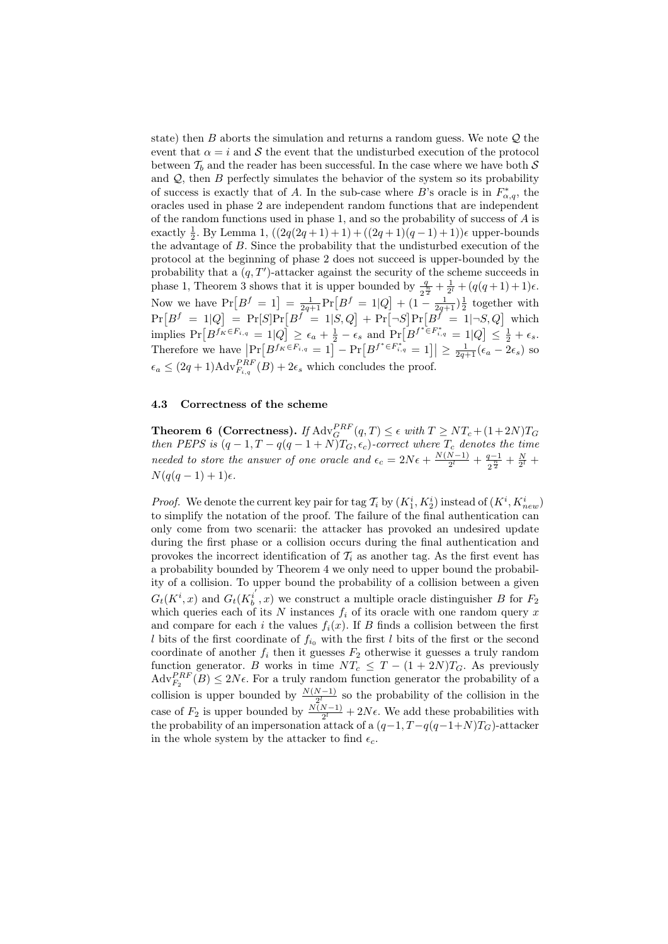state) then B aborts the simulation and returns a random guess. We note  $\mathcal Q$  the event that  $\alpha = i$  and S the event that the undisturbed execution of the protocol between  $\mathcal{T}_b$  and the reader has been successful. In the case where we have both  $\mathcal{S}$ and  $Q$ , then  $B$  perfectly simulates the behavior of the system so its probability of success is exactly that of A. In the sub-case where B's oracle is in  $F_{\alpha,q}^*$ , the oracles used in phase 2 are independent random functions that are independent of the random functions used in phase 1, and so the probability of success of A is exactly  $\frac{1}{2}$ . By Lemma 1,  $((2q(2q + 1) + 1) + ((2q + 1)(q - 1) + 1))\epsilon$  upper-bounds the advantage of B. Since the probability that the undisturbed execution of the protocol at the beginning of phase 2 does not succeed is upper-bounded by the probability that a  $(q, T')$ -attacker against the security of the scheme succeeds in phase 1, Theorem 3 shows that it is upper bounded by  $\frac{q}{2^{\frac{n}{2}}} + \frac{1}{2^l} + (q(q+1)+1)\epsilon$ . Now we have  $Pr[B^f = 1] = \frac{1}{2q+1}Pr[B^f = 1|Q] + (1 - \frac{1}{2q+1})\frac{1}{2}$  together with  $\Pr[B^f = 1|Q] = \Pr[S] \Pr[B^f = 1|S,Q] + \Pr[\neg S] \Pr[B^f = 1|\neg S,Q]$  which implies  $Pr[B^{f_K \in F_{i,q}} = 1|Q] \geq \epsilon_a + \frac{1}{2} - \epsilon_s$  and  $Pr[B^{f^* \in F_{i,q}^*} = 1|Q] \leq \frac{1}{2} + \epsilon_s$ . Therefore we have  $\left|\Pr[B^{f_{\kappa}} \in F_{i,q} = 1] - \Pr[B^{f^* \in F_{i,q}^*} = 1]\right| \ge \frac{1}{2q+1}(\epsilon_a - 2\epsilon_s)$  so  $\epsilon_a \leq (2q+1) \text{Adv}_{F_{i,q}}^{PRF}(B) + 2\epsilon_s$  which concludes the proof.

#### 4.3 Correctness of the scheme

**Theorem 6 (Correctness).** If  $\text{Adv}_{G}^{PRF}(q, T) \leq \epsilon$  with  $T \geq NT_c + (1 + 2N)T_G$ then PEPS is  $(q-1, T-q(q-1+N)T_G, \epsilon_c)$ -correct where  $T_c$  denotes the time needed to store the answer of one oracle and  $\epsilon_c = 2N\epsilon + \frac{N(N-1)}{2^l}$  $\frac{N-1}{2^l}+\frac{q-1}{2^{\frac{n}{2}}}$  $\frac{q-1}{2^{\frac{n}{2}}}+\frac{N}{2^l}+$  $N(q(q-1)+1)\epsilon$ .

*Proof.* We denote the current key pair for tag  $\mathcal{T}_i$  by  $(K_1^i, K_2^i)$  instead of  $(K^i, K_{new}^i)$ to simplify the notation of the proof. The failure of the final authentication can only come from two scenarii: the attacker has provoked an undesired update during the first phase or a collision occurs during the final authentication and provokes the incorrect identification of  $\mathcal{T}_i$  as another tag. As the first event has a probability bounded by Theorem 4 we only need to upper bound the probability of a collision. To upper bound the probability of a collision between a given  $G_t(K^i, x)$  and  $G_t(K_b^{i'}$  $b<sub>b</sub>$ , x) we construct a multiple oracle distinguisher B for  $F_2$ which queries each of its N instances  $f_i$  of its oracle with one random query x and compare for each i the values  $f_i(x)$ . If B finds a collision between the first l bits of the first coordinate of  $f_{i_0}$  with the first l bits of the first or the second coordinate of another  $f_i$  then it guesses  $F_2$  otherwise it guesses a truly random function generator. B works in time  $NT_c \leq T - (1 + 2N)T_G$ . As previously  $\text{Adv}_{F_2}^{PRF}(B) \leq 2N\epsilon$ . For a truly random function generator the probability of a collision is upper bounded by  $\frac{N(N-1)}{2^l}$  so the probability of the collision in the case of  $F_2$  is upper bounded by  $\frac{N(N-1)}{2^l} + 2N\epsilon$ . We add these probabilities with the probability of an impersonation attack of a  $(q-1, T-q(q-1+N)T<sub>G</sub>)$ -attacker in the whole system by the attacker to find  $\epsilon_c$ .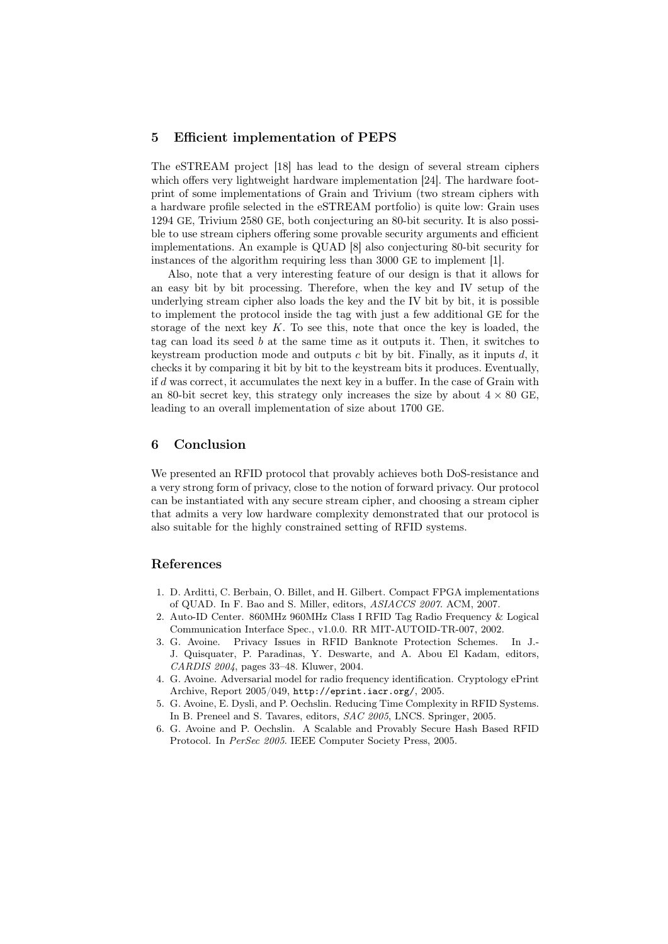# 5 Efficient implementation of PEPS

The eSTREAM project [18] has lead to the design of several stream ciphers which offers very lightweight hardware implementation [24]. The hardware footprint of some implementations of Grain and Trivium (two stream ciphers with a hardware profile selected in the eSTREAM portfolio) is quite low: Grain uses 1294 GE, Trivium 2580 GE, both conjecturing an 80-bit security. It is also possible to use stream ciphers offering some provable security arguments and efficient implementations. An example is QUAD [8] also conjecturing 80-bit security for instances of the algorithm requiring less than 3000 GE to implement [1].

Also, note that a very interesting feature of our design is that it allows for an easy bit by bit processing. Therefore, when the key and IV setup of the underlying stream cipher also loads the key and the IV bit by bit, it is possible to implement the protocol inside the tag with just a few additional GE for the storage of the next key  $K$ . To see this, note that once the key is loaded, the tag can load its seed b at the same time as it outputs it. Then, it switches to keystream production mode and outputs c bit by bit. Finally, as it inputs  $d$ , it checks it by comparing it bit by bit to the keystream bits it produces. Eventually, if d was correct, it accumulates the next key in a buffer. In the case of Grain with an 80-bit secret key, this strategy only increases the size by about  $4 \times 80$  GE, leading to an overall implementation of size about 1700 GE.

# 6 Conclusion

We presented an RFID protocol that provably achieves both DoS-resistance and a very strong form of privacy, close to the notion of forward privacy. Our protocol can be instantiated with any secure stream cipher, and choosing a stream cipher that admits a very low hardware complexity demonstrated that our protocol is also suitable for the highly constrained setting of RFID systems.

## References

- 1. D. Arditti, C. Berbain, O. Billet, and H. Gilbert. Compact FPGA implementations of QUAD. In F. Bao and S. Miller, editors, ASIACCS 2007. ACM, 2007.
- 2. Auto-ID Center. 860MHz 960MHz Class I RFID Tag Radio Frequency & Logical Communication Interface Spec., v1.0.0. RR MIT-AUTOID-TR-007, 2002.
- 3. G. Avoine. Privacy Issues in RFID Banknote Protection Schemes. In J.- J. Quisquater, P. Paradinas, Y. Deswarte, and A. Abou El Kadam, editors, CARDIS 2004, pages 33–48. Kluwer, 2004.
- 4. G. Avoine. Adversarial model for radio frequency identification. Cryptology ePrint Archive, Report 2005/049, http://eprint.iacr.org/, 2005.
- 5. G. Avoine, E. Dysli, and P. Oechslin. Reducing Time Complexity in RFID Systems. In B. Preneel and S. Tavares, editors, SAC 2005, LNCS. Springer, 2005.
- 6. G. Avoine and P. Oechslin. A Scalable and Provably Secure Hash Based RFID Protocol. In PerSec 2005. IEEE Computer Society Press, 2005.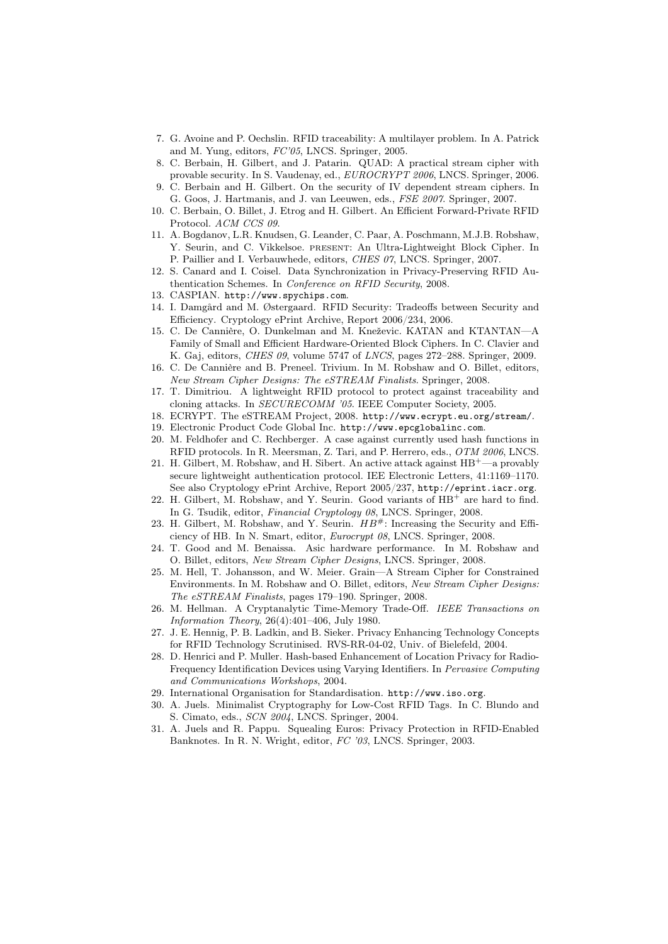- 7. G. Avoine and P. Oechslin. RFID traceability: A multilayer problem. In A. Patrick and M. Yung, editors, FC'05, LNCS. Springer, 2005.
- 8. C. Berbain, H. Gilbert, and J. Patarin. QUAD: A practical stream cipher with provable security. In S. Vaudenay, ed., EUROCRYPT 2006, LNCS. Springer, 2006.
- 9. C. Berbain and H. Gilbert. On the security of IV dependent stream ciphers. In G. Goos, J. Hartmanis, and J. van Leeuwen, eds., FSE 2007. Springer, 2007.
- 10. C. Berbain, O. Billet, J. Etrog and H. Gilbert. An Efficient Forward-Private RFID Protocol. ACM CCS 09.
- 11. A. Bogdanov, L.R. Knudsen, G. Leander, C. Paar, A. Poschmann, M.J.B. Robshaw, Y. Seurin, and C. Vikkelsoe. present: An Ultra-Lightweight Block Cipher. In P. Paillier and I. Verbauwhede, editors, CHES 07, LNCS. Springer, 2007.
- 12. S. Canard and I. Coisel. Data Synchronization in Privacy-Preserving RFID Authentication Schemes. In Conference on RFID Security, 2008.
- 13. CASPIAN. http://www.spychips.com.
- 14. I. Damgård and M. Østergaard. RFID Security: Tradeoffs between Security and Efficiency. Cryptology ePrint Archive, Report 2006/234, 2006.
- 15. C. De Cannière, O. Dunkelman and M. Kneževic. KATAN and KTANTAN—A Family of Small and Efficient Hardware-Oriented Block Ciphers. In C. Clavier and K. Gaj, editors, *CHES 09*, volume 5747 of *LNCS*, pages 272–288. Springer, 2009.
- 16. C. De Cannière and B. Preneel. Trivium. In M. Robshaw and O. Billet, editors, New Stream Cipher Designs: The eSTREAM Finalists. Springer, 2008.
- 17. T. Dimitriou. A lightweight RFID protocol to protect against traceability and cloning attacks. In SECURECOMM '05. IEEE Computer Society, 2005.
- 18. ECRYPT. The eSTREAM Project, 2008. http://www.ecrypt.eu.org/stream/.
- 19. Electronic Product Code Global Inc. http://www.epcglobalinc.com.
- 20. M. Feldhofer and C. Rechberger. A case against currently used hash functions in RFID protocols. In R. Meersman, Z. Tari, and P. Herrero, eds., OTM 2006, LNCS.
- 21. H. Gilbert, M. Robshaw, and H. Sibert. An active attack against HB<sup>+</sup>—a provably secure lightweight authentication protocol. IEE Electronic Letters, 41:1169–1170. See also Cryptology ePrint Archive, Report 2005/237, http://eprint.iacr.org.
- 22. H. Gilbert, M. Robshaw, and Y. Seurin. Good variants of  $HB^+$  are hard to find. In G. Tsudik, editor, Financial Cryptology 08, LNCS. Springer, 2008.
- 23. H. Gilbert, M. Robshaw, and Y. Seurin.  $HB^{\#}$ : Increasing the Security and Efficiency of HB. In N. Smart, editor, Eurocrypt 08, LNCS. Springer, 2008.
- 24. T. Good and M. Benaissa. Asic hardware performance. In M. Robshaw and O. Billet, editors, New Stream Cipher Designs, LNCS. Springer, 2008.
- 25. M. Hell, T. Johansson, and W. Meier. Grain—A Stream Cipher for Constrained Environments. In M. Robshaw and O. Billet, editors, New Stream Cipher Designs: The eSTREAM Finalists, pages 179–190. Springer, 2008.
- 26. M. Hellman. A Cryptanalytic Time-Memory Trade-Off. IEEE Transactions on Information Theory, 26(4):401–406, July 1980.
- 27. J. E. Hennig, P. B. Ladkin, and B. Sieker. Privacy Enhancing Technology Concepts for RFID Technology Scrutinised. RVS-RR-04-02, Univ. of Bielefeld, 2004.
- 28. D. Henrici and P. Muller. Hash-based Enhancement of Location Privacy for Radio-Frequency Identification Devices using Varying Identifiers. In Pervasive Computing and Communications Workshops, 2004.
- 29. International Organisation for Standardisation. http://www.iso.org.
- 30. A. Juels. Minimalist Cryptography for Low-Cost RFID Tags. In C. Blundo and S. Cimato, eds., SCN 2004, LNCS. Springer, 2004.
- 31. A. Juels and R. Pappu. Squealing Euros: Privacy Protection in RFID-Enabled Banknotes. In R. N. Wright, editor, FC '03, LNCS. Springer, 2003.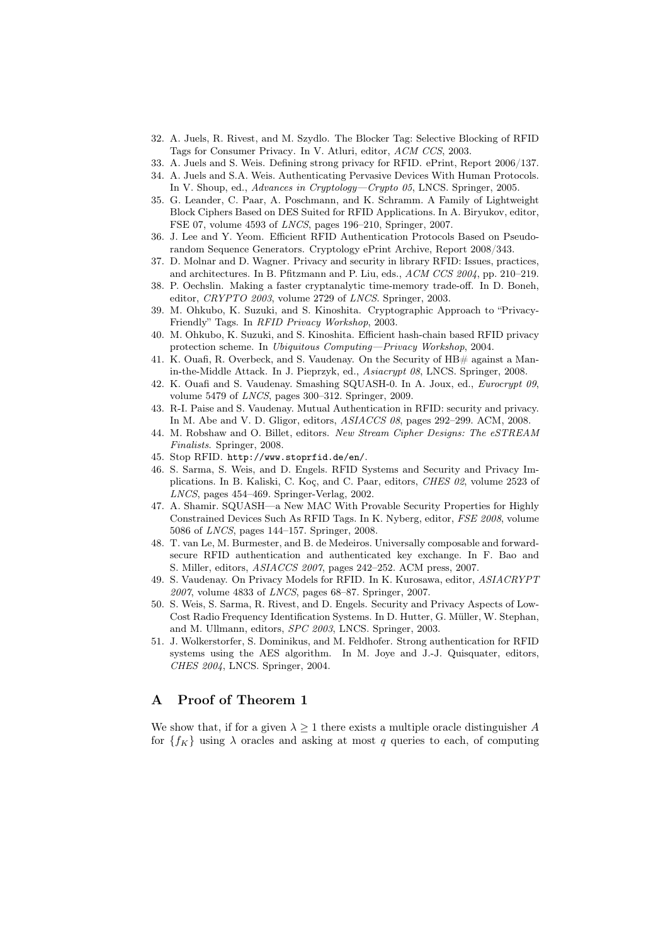- 32. A. Juels, R. Rivest, and M. Szydlo. The Blocker Tag: Selective Blocking of RFID Tags for Consumer Privacy. In V. Atluri, editor, ACM CCS, 2003.
- 33. A. Juels and S. Weis. Defining strong privacy for RFID. ePrint, Report 2006/137.
- 34. A. Juels and S.A. Weis. Authenticating Pervasive Devices With Human Protocols. In V. Shoup, ed., Advances in Cryptology—Crypto 05, LNCS. Springer, 2005.
- 35. G. Leander, C. Paar, A. Poschmann, and K. Schramm. A Family of Lightweight Block Ciphers Based on DES Suited for RFID Applications. In A. Biryukov, editor, FSE 07, volume 4593 of LNCS, pages 196–210, Springer, 2007.
- 36. J. Lee and Y. Yeom. Efficient RFID Authentication Protocols Based on Pseudorandom Sequence Generators. Cryptology ePrint Archive, Report 2008/343.
- 37. D. Molnar and D. Wagner. Privacy and security in library RFID: Issues, practices, and architectures. In B. Pfitzmann and P. Liu, eds., ACM CCS 2004, pp. 210–219.
- 38. P. Oechslin. Making a faster cryptanalytic time-memory trade-off. In D. Boneh, editor, CRYPTO 2003, volume 2729 of LNCS. Springer, 2003.
- 39. M. Ohkubo, K. Suzuki, and S. Kinoshita. Cryptographic Approach to "Privacy-Friendly" Tags. In RFID Privacy Workshop, 2003.
- 40. M. Ohkubo, K. Suzuki, and S. Kinoshita. Efficient hash-chain based RFID privacy protection scheme. In Ubiquitous Computing—Privacy Workshop, 2004.
- 41. K. Ouafi, R. Overbeck, and S. Vaudenay. On the Security of HB# against a Manin-the-Middle Attack. In J. Pieprzyk, ed., Asiacrypt 08, LNCS. Springer, 2008.
- 42. K. Ouafi and S. Vaudenay. Smashing SQUASH-0. In A. Joux, ed., Eurocrypt 09, volume  $5479$  of *LNCS*, pages  $300-312$ . Springer, 2009.
- 43. R-I. Paise and S. Vaudenay. Mutual Authentication in RFID: security and privacy. In M. Abe and V. D. Gligor, editors, ASIACCS 08, pages 292–299. ACM, 2008.
- 44. M. Robshaw and O. Billet, editors. New Stream Cipher Designs: The eSTREAM Finalists. Springer, 2008.
- 45. Stop RFID. http://www.stoprfid.de/en/.
- 46. S. Sarma, S. Weis, and D. Engels. RFID Systems and Security and Privacy Implications. In B. Kaliski, C. Koç, and C. Paar, editors, CHES 02, volume 2523 of LNCS, pages 454–469. Springer-Verlag, 2002.
- 47. A. Shamir. SQUASH—a New MAC With Provable Security Properties for Highly Constrained Devices Such As RFID Tags. In K. Nyberg, editor, FSE 2008, volume 5086 of LNCS, pages 144–157. Springer, 2008.
- 48. T. van Le, M. Burmester, and B. de Medeiros. Universally composable and forwardsecure RFID authentication and authenticated key exchange. In F. Bao and S. Miller, editors, ASIACCS 2007, pages 242–252. ACM press, 2007.
- 49. S. Vaudenay. On Privacy Models for RFID. In K. Kurosawa, editor, ASIACRYPT 2007, volume 4833 of LNCS, pages 68–87. Springer, 2007.
- 50. S. Weis, S. Sarma, R. Rivest, and D. Engels. Security and Privacy Aspects of Low-Cost Radio Frequency Identification Systems. In D. Hutter, G. Müller, W. Stephan, and M. Ullmann, editors, SPC 2003, LNCS. Springer, 2003.
- 51. J. Wolkerstorfer, S. Dominikus, and M. Feldhofer. Strong authentication for RFID systems using the AES algorithm. In M. Joye and J.-J. Quisquater, editors, CHES 2004, LNCS. Springer, 2004.

# A Proof of Theorem 1

We show that, if for a given  $\lambda \geq 1$  there exists a multiple oracle distinguisher A for  ${f_K}$  using  $\lambda$  oracles and asking at most q queries to each, of computing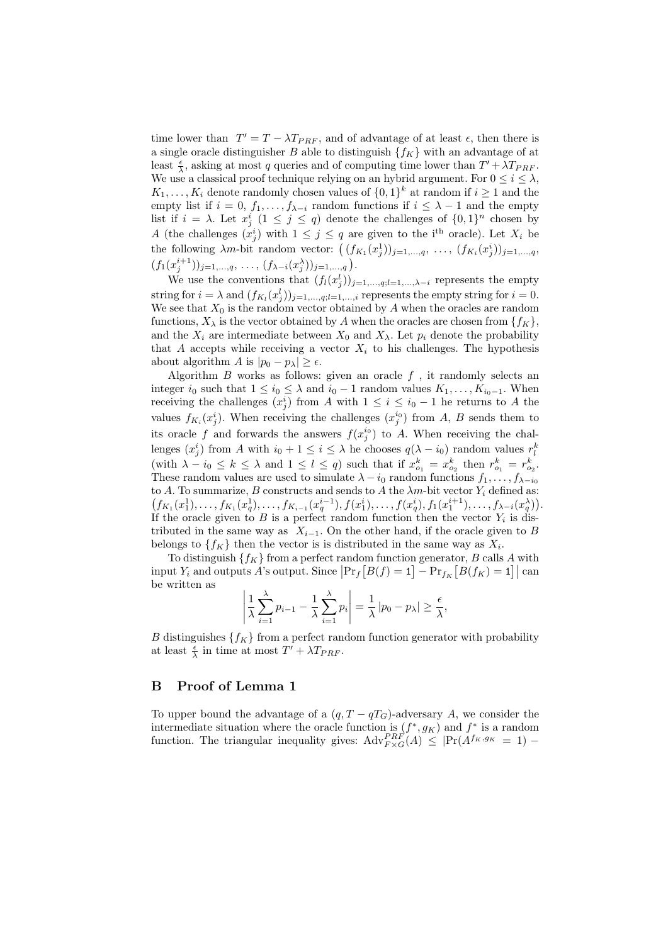time lower than  $T' = T - \lambda T_{PRF}$ , and of advantage of at least  $\epsilon$ , then there is a single oracle distinguisher B able to distinguish  $\{f_K\}$  with an advantage of at least  $\frac{\epsilon}{\lambda}$ , asking at most q queries and of computing time lower than  $T' + \lambda T_{PRF}$ . We use a classical proof technique relying on an hybrid argument. For  $0 \leq i \leq \lambda$ ,  $K_1, \ldots, K_i$  denote randomly chosen values of  $\{0, 1\}^k$  at random if  $i \geq 1$  and the empty list if  $i = 0, f_1, \ldots, f_{\lambda-i}$  random functions if  $i \leq \lambda - 1$  and the empty list if  $i = \lambda$ . Let  $x_j^i$   $(1 \leq j \leq q)$  denote the challenges of  $\{0,1\}^n$  chosen by A (the challenges  $(x_j^i)$  with  $1 \leq j \leq q$  are given to the i<sup>th</sup> oracle). Let  $X_i$  be the following  $\lambda m$ -bit random vector:  $((f_{K_1}(x_j^1))_{j=1,\dots,q}, \dots, (f_{K_i}(x_j^i))_{j=1,\dots,q}$  $(f_1(x_j^{i+1}))_{j=1,\ldots,q}, \ldots, (f_{\lambda-i}(x_j^{\lambda}))_{j=1,\ldots,q}).$ 

We use the conventions that  $(f_l(x_j^l))_{j=1,\ldots,q;l=1,\ldots,\lambda-i}$  represents the empty string for  $i = \lambda$  and  $(f_{K_l}(x_j^l))_{j=1,\dots,q; l=1,\dots,i}$  represents the empty string for  $i = 0$ . We see that  $X_0$  is the random vector obtained by A when the oracles are random functions,  $X_{\lambda}$  is the vector obtained by A when the oracles are chosen from  $\{f_K\}$ , and the  $X_i$  are intermediate between  $X_0$  and  $X_\lambda$ . Let  $p_i$  denote the probability that A accepts while receiving a vector  $X_i$  to his challenges. The hypothesis about algorithm A is  $|p_0 - p_\lambda| \geq \epsilon$ .

Algorithm  $B$  works as follows: given an oracle  $f$ , it randomly selects an integer  $i_0$  such that  $1 \le i_0 \le \lambda$  and  $i_0 - 1$  random values  $K_1, \ldots, K_{i_0-1}$ . When receiving the challenges  $(x_j^i)$  from A with  $1 \leq i \leq i_0 - 1$  he returns to A the values  $f_{K_i}(x_j^i)$ . When receiving the challenges  $(x_j^{i_0})$  from A, B sends them to its oracle f and forwards the answers  $f(x_j^{i_0})$  to A. When receiving the challenges  $(x_j^i)$  from A with  $i_0 + 1 \leq i \leq \lambda$  he chooses  $q(\lambda - i_0)$  random values  $r_l^k$ (with  $\lambda - i_0 \leq k \leq \lambda$  and  $1 \leq l \leq q$ ) such that if  $x_{o_1}^k = x_{o_2}^k$  then  $r_{o_1}^k = r_{o_2}^k$ . These random values are used to simulate  $\lambda - i_0$  random functions  $f_1, \ldots, f_{\lambda - i_0}$ to A. To summarize, B constructs and sends to A the  $\lambda m$ -bit vector  $Y_i$  defined as:  $(f_{K_1}(x_1^1),...,f_{K_1}(x_q^1),...,f_{K_{i-1}}(x_q^{i-1}),f(x_1^i),...,f(x_q^i),f_1(x_1^{i+1}),...,f_{\lambda-i}(x_q^{\lambda})).$ If the oracle given to  $B$  is a perfect random function then the vector  $Y_i$  is distributed in the same way as  $X_{i-1}$ . On the other hand, if the oracle given to B belongs to  $\{f_K\}$  then the vector is is distributed in the same way as  $X_i$ .

To distinguish  $\{f_K\}$  from a perfect random function generator, B calls A with input  $Y_i$  and outputs A's output. Since  $\left|\Pr_f[B(f) = 1] - \Pr_{f_K}[B(f_K) = 1]\right|$  can be written as

$$
\left|\frac{1}{\lambda}\sum_{i=1}^{\lambda}p_{i-1}-\frac{1}{\lambda}\sum_{i=1}^{\lambda}p_{i}\right|=\frac{1}{\lambda}|p_{0}-p_{\lambda}|\geq\frac{\epsilon}{\lambda},
$$

B distinguishes  $\{f_K\}$  from a perfect random function generator with probability at least  $\frac{\epsilon}{\lambda}$  in time at most  $T' + \lambda T_{PRF}$ .

# B Proof of Lemma 1

To upper bound the advantage of a  $(q, T - qT_G)$ -adversary A, we consider the intermediate situation where the oracle function is  $(f^*, g_K)$  and  $f^*$  is a random function. The triangular inequality gives:  $Adv_{F\times G}^{PRF}(A) \leq |Pr(A^{f_K,g_K} = 1)$  –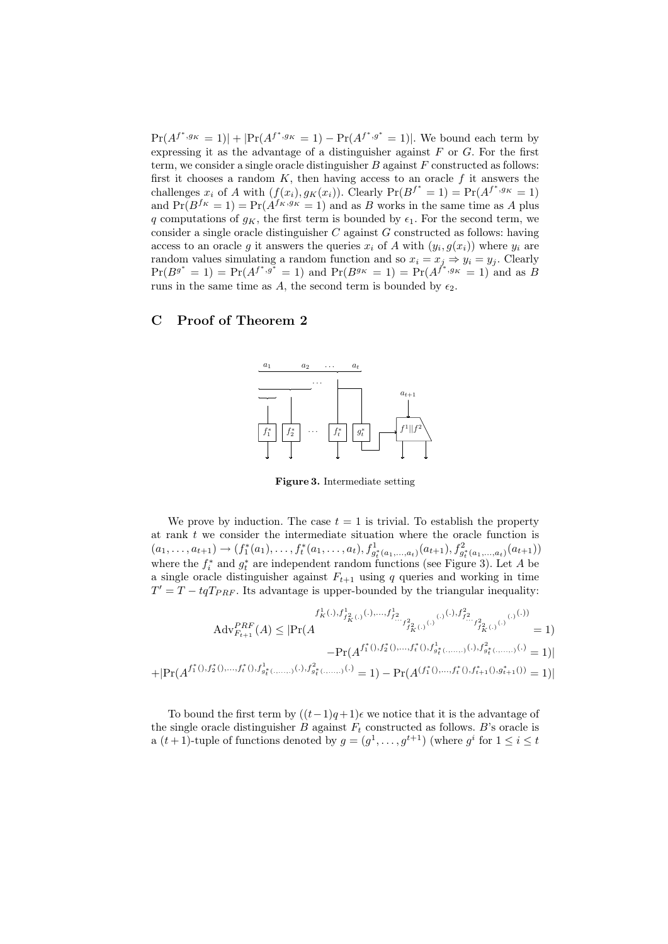$Pr(A^{f^*, g_K} = 1)$  +  $|Pr(A^{f^*, g_K} = 1) - Pr(A^{f^*, g^*} = 1)|$ . We bound each term by expressing it as the advantage of a distinguisher against  $F$  or  $G$ . For the first term, we consider a single oracle distinguisher  $B$  against  $F$  constructed as follows: first it chooses a random  $K$ , then having access to an oracle  $f$  it answers the challenges  $x_i$  of A with  $(f(x_i), g_K(x_i))$ . Clearly  $Pr(B^{f^*} = 1) = Pr(A^{f^*, g_K} = 1)$ and  $Pr(B^{f_K} = 1) = Pr(A^{f_K,g_K} = 1)$  and as B works in the same time as A plus q computations of  $g_K$ , the first term is bounded by  $\epsilon_1$ . For the second term, we consider a single oracle distinguisher  $C$  against  $G$  constructed as follows: having access to an oracle g it answers the queries  $x_i$  of A with  $(y_i, g(x_i))$  where  $y_i$  are random values simulating a random function and so  $x_i = x_j \Rightarrow y_i = y_j$ . Clearly  $Pr(B^{g^*} = 1) = Pr(A^{f^*,g^*} = 1)$  and  $Pr(B^{g_K} = 1) = Pr(A^{f^*,g_K} = 1)$  and as B runs in the same time as A, the second term is bounded by  $\epsilon_2$ .

# C Proof of Theorem 2



Figure 3. Intermediate setting

We prove by induction. The case  $t = 1$  is trivial. To establish the property at rank  $t$  we consider the intermediate situation where the oracle function is  $(a_1, \ldots, a_{t+1}) \rightarrow (f_1^*(a_1), \ldots, f_t^*(a_1, \ldots, a_t), f_{g_t^*(a_1, \ldots, a_t)}^1(a_{t+1}), f_{g_t^*(a_1, \ldots, a_t)}^2(a_{t+1}))$ where the  $f_i^*$  and  $g_i^*$  are independent random functions (see Figure 3). Let A be a single oracle distinguisher against  $F_{t+1}$  using q queries and working in time  $T' = T - tqT_{PRF}$ . Its advantage is upper-bounded by the triangular inequality:

$$
f_{K}^{1}(.), f_{f_{K}^{2}(.)}^{1}(.),...,f_{f_{K}^{2}(.)}^{1}(.), (.)_{f_{f_{K}^{2}(.)}^{2}(.)}(.)_{f_{f_{K}^{2}(.)}^{2}(.)}(.)_{f_{f_{K}^{2}(.)}^{2}(.)}(.)
$$
\n
$$
=1)
$$
\n
$$
-\Pr(A^{f_{1}^{*}(0),f_{2}^{*}(0),...,f_{t}^{*}(0),f_{g_{t}^{*}(0)},...,f_{f}^{*}(0),f_{g_{t}^{*}(0)},...,f_{f}^{*}(0),f_{g_{t}^{*}(0)},...,f_{f}^{*}(0),f_{g_{t}^{*}(0)},...,f_{f}^{*}(0),f_{g_{t}^{*}(0)},...,f_{f}^{*}(0),f_{g_{t}^{*}(0)},...,f_{f}^{*}(0),f_{g_{t}^{*}(0)},...,f_{f}^{*}(0),f_{g_{t}^{*}(0)},...,f_{f}^{*}(0),f_{g_{t}^{*}(0)},...,f_{f}^{*}(0),f_{g_{t}^{*}(0)},...,f_{f}^{*}(0),f_{g_{t}^{*}(0)},...,f_{f}^{*}(0),f_{g_{t}^{*}(0)},...,f_{f}^{*}(0),f_{g_{t}^{*}(0)},...,f_{f}^{*}(0),f_{g_{t}^{*}(0)},...,f_{f}^{*}(0),f_{g_{t}^{*}(0)},...,f_{f}^{*}(0),f_{g_{t}^{*}(0)},...,f_{f}^{*}(0),f_{g_{t}^{*}(0)},...,f_{f}^{*}(0),f_{g_{t}^{*}(0)},...,f_{f}^{*}(0),f_{g_{t}^{*}(0)},...,f_{f}^{*}(0),f_{g_{t}^{*}(0)},...,f_{f}^{*}(0),f_{g_{t}^{*}(0)},...,f_{f}^{*}(0),f_{g_{t}^{*}(0)},...,f_{f}^{*}(0),f_{g_{t}^{*}(0)},...,f_{f}^{*}(0),f_{g_{t}^{*}(0)},...,f_{f}^{*}(0),f_{g_{t}^{*}(0)},...,f_{f}^{*}(0),f_{g_{t}^{*}(0)},...,f_{f}^{*}(0),f_{g_{t}^{*}(0)},...,f_{f}^{*}(0),f_{g_{t}^{*}(0)},...,f_{f}^{*}(0),f_{g_{t}^{*}(0)},...,f_{f}
$$

To bound the first term by  $((t-1)q+1)\epsilon$  we notice that it is the advantage of the single oracle distinguisher  $B$  against  $F_t$  constructed as follows. B's oracle is a  $(t+1)$ -tuple of functions denoted by  $g = (g^1, \ldots, g^{t+1})$  (where  $g^i$  for  $1 \le i \le t$ )